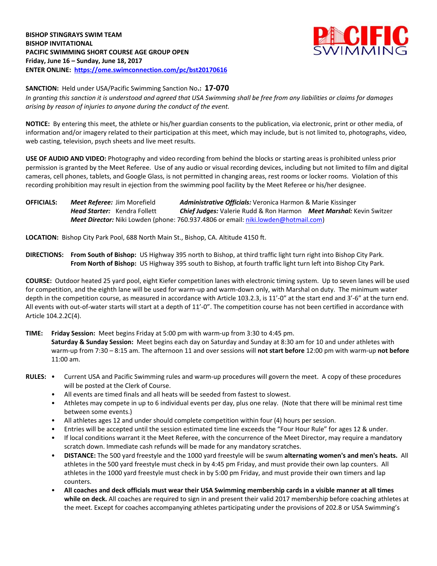

**SANCTION:** Held under USA/Pacific Swimming Sanction No**.: 17-070** *In granting this sanction it is understood and agreed that USA Swimming shall be free from any liabilities or claims for damages arising by reason of injuries to anyone during the conduct of the event.*

**NOTICE:** By entering this meet, the athlete or his/her guardian consents to the publication, via electronic, print or other media, of information and/or imagery related to their participation at this meet, which may include, but is not limited to, photographs, video, web casting, television, psych sheets and live meet results.

**USE OF AUDIO AND VIDEO:** Photography and video recording from behind the blocks or starting areas is prohibited unless prior permission is granted by the Meet Referee. Use of any audio or visual recording devices, including but not limited to film and digital cameras, cell phones, tablets, and Google Glass, is not permitted in changing areas, rest rooms or locker rooms. Violation of this recording prohibition may result in ejection from the swimming pool facility by the Meet Referee or his/her designee.

**OFFICIALS:** *Meet Referee:* Jim Morefield *Administrative Officials:* Veronica Harmon & Marie Kissinger *Head Starter:* Kendra Follett *Chief Judges:* Valerie Rudd & Ron Harmon *Meet Marshal:* Kevin Switzer *Meet Director:* Niki Lowden (phone: 760.937.4806 or email[: niki.lowden@hotmail.com\)](mailto:niki.lowden@hotmail.com)

**LOCATION:** Bishop City Park Pool, 688 North Main St., Bishop, CA. Altitude 4150 ft.

**DIRECTIONS: From South of Bishop:** US Highway 395 north to Bishop, at third traffic light turn right into Bishop City Park. **From North of Bishop:** US Highway 395 south to Bishop, at fourth traffic light turn left into Bishop City Park.

**COURSE:** Outdoor heated 25 yard pool, eight Kiefer competition lanes with electronic timing system. Up to seven lanes will be used for competition, and the eighth lane will be used for warm-up and warm-down only, with Marshal on duty. The minimum water depth in the competition course, as measured in accordance with Article 103.2.3, is 11'-0" at the start end and 3'-6" at the turn end. All events with out-of-water starts will start at a depth of 11'-0". The competition course has not been certified in accordance with Article 104.2.2C(4).

**TIME: Friday Session:** Meet begins Friday at 5:00 pm with warm-up from 3:30 to 4:45 pm.

**Saturday & Sunday Session:** Meet begins each day on Saturday and Sunday at 8:30 am for 10 and under athletes with warm-up from 7:30 – 8:15 am. The afternoon 11 and over sessions will **not start before** 12:00 pm with warm-up **not before**  11:00 am.

- **RULES:** Current USA and Pacific Swimming rules and warm-up procedures will govern the meet. A copy of these procedures will be posted at the Clerk of Course.
	- All events are timed finals and all heats will be seeded from fastest to slowest.
	- Athletes may compete in up to 6 individual events per day, plus one relay. (Note that there will be minimal rest time between some events.)
	- All athletes ages 12 and under should complete competition within four (4) hours per session.
	- Entries will be accepted until the session estimated time line exceeds the "Four Hour Rule" for ages 12 & under.
	- If local conditions warrant it the Meet Referee, with the concurrence of the Meet Director, may require a mandatory scratch down. Immediate cash refunds will be made for any mandatory scratches.
	- **DISTANCE:** The 500 yard freestyle and the 1000 yard freestyle will be swum **alternating women's and men's heats.** All athletes in the 500 yard freestyle must check in by 4:45 pm Friday, and must provide their own lap counters. All athletes in the 1000 yard freestyle must check in by 5:00 pm Friday, and must provide their own timers and lap counters.
	- **All coaches and deck officials must wear their USA Swimming membership cards in a visible manner at all times while on deck.** All coaches are required to sign in and present their valid 2017 membership before coaching athletes at the meet. Except for coaches accompanying athletes participating under the provisions of 202.8 or USA Swimming's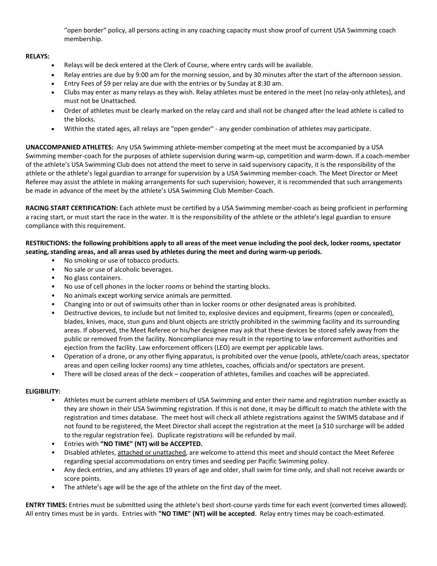"open border" policy, all persons acting in any coaching capacity must show proof of current USA Swimming coach membership.

## **RELAYS:**

- Relays will be deck entered at the Clerk of Course, where entry cards will be available.
- Relay entries are due by 9:00 am for the morning session, and by 30 minutes after the start of the afternoon session.
- Entry Fees of \$9 per relay are due with the entries or by Sunday at 8:30 am.
- Clubs may enter as many relays as they wish. Relay athletes must be entered in the meet (no relay-only athletes), and must not be Unattached.
- Order of athletes must be clearly marked on the relay card and shall not be changed after the lead athlete is called to the blocks.
- Within the stated ages, all relays are "open gender" any gender combination of athletes may participate.

**UNACCOMPANIED ATHLETES:** Any USA Swimming athlete-member competing at the meet must be accompanied by a USA Swimming member-coach for the purposes of athlete supervision during warm-up, competition and warm-down. If a coach-member of the athlete's USA Swimming Club does not attend the meet to serve in said supervisory capacity, it is the responsibility of the athlete or the athlete's legal guardian to arrange for supervision by a USA Swimming member-coach. The Meet Director or Meet Referee may assist the athlete in making arrangements for such supervision; however, it is recommended that such arrangements be made in advance of the meet by the athlete's USA Swimming Club Member-Coach.

**RACING START CERTIFICATION:** Each athlete must be certified by a USA Swimming member-coach as being proficient in performing a racing start, or must start the race in the water. It is the responsibility of the athlete or the athlete's legal guardian to ensure compliance with this requirement.

## **RESTRICTIONS: the following prohibitions apply to all areas of the meet venue including the pool deck, locker rooms, spectator seating, standing areas, and all areas used by athletes during the meet and during warm-up periods.**

- No smoking or use of tobacco products.
- No sale or use of alcoholic beverages.
- No glass containers.
- No use of cell phones in the locker rooms or behind the starting blocks.
- No animals except working service animals are permitted.
- Changing into or out of swimsuits other than in locker rooms or other designated areas is prohibited.
- Destructive devices, to include but not limited to, explosive devices and equipment, firearms (open or concealed), blades, knives, mace, stun guns and blunt objects are strictly prohibited in the swimming facility and its surrounding areas. If observed, the Meet Referee or his/her designee may ask that these devices be stored safely away from the public or removed from the facility. Noncompliance may result in the reporting to law enforcement authorities and ejection from the facility. Law enforcement officers (LEO) are exempt per applicable laws.
- Operation of a drone, or any other flying apparatus, is prohibited over the venue (pools, athlete/coach areas, spectator areas and open ceiling locker rooms) any time athletes, coaches, officials and/or spectators are present.
- There will be closed areas of the deck cooperation of athletes, families and coaches will be appreciated.

## **ELIGIBILITY:**

- Athletes must be current athlete members of USA Swimming and enter their name and registration number exactly as they are shown in their USA Swimming registration. If this is not done, it may be difficult to match the athlete with the registration and times database. The meet host will check all athlete registrations against the SWIMS database and if not found to be registered, the Meet Director shall accept the registration at the meet (a \$10 surcharge will be added to the regular registration fee). Duplicate registrations will be refunded by mail.
- Entries with **"NO TIME" (NT) will be ACCEPTED.**
- Disabled athletes, attached or unattached, are welcome to attend this meet and should contact the Meet Referee regarding special accommodations on entry times and seeding per Pacific Swimming policy.
- Any deck entries, and any athletes 19 years of age and older, shall swim for time only, and shall not receive awards or score points.
- The athlete's age will be the age of the athlete on the first day of the meet.

**ENTRY TIMES:** Entries must be submitted using the athlete's best short-course yards time for each event (converted times allowed). All entry times must be in yards. Entries with **"NO TIME" (NT) will be accepted**. Relay entry times may be coach-estimated.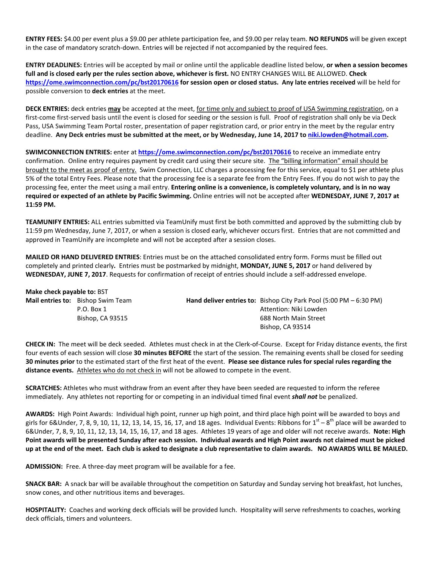**ENTRY FEES:** \$4.00 per event plus a \$9.00 per athlete participation fee, and \$9.00 per relay team. **NO REFUNDS** will be given except in the case of mandatory scratch-down. Entries will be rejected if not accompanied by the required fees.

**ENTRY DEADLINES:** Entries will be accepted by mail or online until the applicable deadline listed below, **or when a session becomes full and is closed early per the rules section above, whichever is first.** NO ENTRY CHANGES WILL BE ALLOWED. **Check <https://ome.swimconnection.com/pc/bst20170616> for session open or closed status. Any late entries received** will be held for possible conversion to **deck entries** at the meet.

**DECK ENTRIES:** deck entries **may** be accepted at the meet, for time only and subject to proof of USA Swimming registration, on a first-come first-served basis until the event is closed for seeding or the session is full. Proof of registration shall only be via Deck Pass, USA Swimming Team Portal roster, presentation of paper registration card, or prior entry in the meet by the regular entry deadline. **Any Deck entries must be submitted at the meet, or by Wednesday, June 14, 2017 t[o niki.lowden@hotmail.com.](mailto:niki.lowden@hotmail.com)**

**SWIMCONNECTION ENTRIES:** enter at **<https://ome.swimconnection.com/pc/bst20170616>** to receive an immediate entry confirmation. Online entry requires payment by credit card using their secure site. The "billing information" email should be brought to the meet as proof of entry. Swim Connection, LLC charges a processing fee for this service, equal to \$1 per athlete plus 5% of the total Entry Fees. Please note that the processing fee is a separate fee from the Entry Fees. If you do not wish to pay the processing fee, enter the meet using a mail entry. **Entering online is a convenience, is completely voluntary, and is in no way required or expected of an athlete by Pacific Swimming.** Online entries will not be accepted after **WEDNESDAY, JUNE 7, 2017 at 11:59 PM.**

**TEAMUNIFY ENTRIES:** ALL entries submitted via TeamUnify must first be both committed and approved by the submitting club by 11:59 pm Wednesday, June 7, 2017, or when a session is closed early, whichever occurs first. Entries that are not committed and approved in TeamUnify are incomplete and will not be accepted after a session closes.

**MAILED OR HAND DELIVERED ENTRIES**: Entries must be on the attached consolidated entry form. Forms must be filled out completely and printed clearly*.* Entries must be postmarked by midnight, **MONDAY, JUNE 5, 2017** or hand delivered by **WEDNESDAY, JUNE 7, 2017**. Requests for confirmation of receipt of entries should include a self-addressed envelope.

| Make check payable to: BST |                                          |                                                                                             |
|----------------------------|------------------------------------------|---------------------------------------------------------------------------------------------|
|                            | <b>Mail entries to:</b> Bishop Swim Team | <b>Hand deliver entries to:</b> Bishop City Park Pool $(5:00 \text{ PM} - 6:30 \text{ PM})$ |
|                            | P.O. Box 1                               | Attention: Niki Lowden                                                                      |
|                            | Bishop, CA 93515                         | 688 North Main Street                                                                       |
|                            |                                          | Bishop, CA 93514                                                                            |

**CHECK IN:** The meet will be deck seeded. Athletes must check in at the Clerk-of-Course. Except for Friday distance events, the first four events of each session will close **30 minutes BEFORE** the start of the session. The remaining events shall be closed for seeding **30 minutes prior** to the estimated start of the first heat of the event. **Please see distance rules for special rules regarding the distance events.** Athletes who do not check in will not be allowed to compete in the event.

**SCRATCHES:** Athletes who must withdraw from an event after they have been seeded are requested to inform the referee immediately. Any athletes not reporting for or competing in an individual timed final event *shall not* be penalized.

**AWARDS:** High Point Awards: Individual high point, runner up high point, and third place high point will be awarded to boys and girls for 6&Under, 7, 8, 9, 10, 11, 12, 13, 14, 15, 16, 17, and 18 ages. Individual Events: Ribbons for 1 $^{\rm st}$  – 8 $^{\rm th}$  place will be awarded to 6&Under, 7, 8, 9, 10, 11, 12, 13, 14, 15, 16, 17, and 18 ages. Athletes 19 years of age and older will not receive awards. **Note: High Point awards will be presented Sunday after each session. Individual awards and High Point awards not claimed must be picked up at the end of the meet. Each club is asked to designate a club representative to claim awards. NO AWARDS WILL BE MAILED.**

**ADMISSION:** Free. A three-day meet program will be available for a fee.

**SNACK BAR:** A snack bar will be available throughout the competition on Saturday and Sunday serving hot breakfast, hot lunches, snow cones, and other nutritious items and beverages.

**HOSPITALITY:** Coaches and working deck officials will be provided lunch. Hospitality will serve refreshments to coaches, working deck officials, timers and volunteers.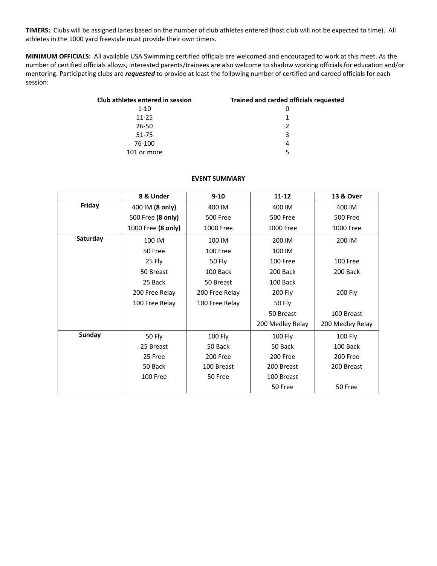**TIMERS:** Clubs will be assigned lanes based on the number of club athletes entered (host club will not be expected to time). All athletes in the 1000 yard freestyle must provide their own timers.

**MINIMUM OFFICIALS:** All available USA Swimming certified officials are welcomed and encouraged to work at this meet. As the number of certified officials allows, interested parents/trainees are also welcome to shadow working officials for education and/or mentoring. Participating clubs are *requested* to provide at least the following number of certified and carded officials for each session:

| Club athletes entered in session | <b>Trained and carded officials requested</b> |
|----------------------------------|-----------------------------------------------|
| $1 - 10$                         |                                               |
| $11 - 25$                        |                                               |
| 26-50                            | $\mathcal{P}$                                 |
| 51-75                            | 3                                             |
| 76-100                           | 4                                             |
| 101 or more                      | 5                                             |

## **EVENT SUMMARY**

|          | 8 & Under          | $9 - 10$        | $11 - 12$        | 13 & Over        |
|----------|--------------------|-----------------|------------------|------------------|
| Friday   | 400 IM (8 only)    | 400 IM          | 400 IM           | 400 IM           |
|          | 500 Free (8 only)  | <b>500 Free</b> | <b>500 Free</b>  | <b>500 Free</b>  |
|          | 1000 Free (8 only) | 1000 Free       | 1000 Free        | 1000 Free        |
| Saturday | 100 IM             | 100 IM          | 200 IM           | 200 IM           |
|          | 50 Free            | 100 Free        | 100 IM           |                  |
|          | 25 Fly             | 50 Fly          | 100 Free         | 100 Free         |
|          | 50 Breast          | 100 Back        | 200 Back         | 200 Back         |
|          | 25 Back            | 50 Breast       | 100 Back         |                  |
|          | 200 Free Relay     | 200 Free Relay  | 200 Fly          | 200 Fly          |
|          | 100 Free Relay     | 100 Free Relay  | 50 Fly           |                  |
|          |                    |                 | 50 Breast        | 100 Breast       |
|          |                    |                 | 200 Medley Relay | 200 Medley Relay |
| Sunday   | <b>50 Fly</b>      | <b>100 Fly</b>  | 100 Fly          | 100 Fly          |
|          | 25 Breast          | 50 Back         | 50 Back          | 100 Back         |
|          | 25 Free            | 200 Free        | 200 Free         | 200 Free         |
|          | 50 Back            | 100 Breast      | 200 Breast       | 200 Breast       |
|          | 100 Free           | 50 Free         | 100 Breast       |                  |
|          |                    |                 | 50 Free          | 50 Free          |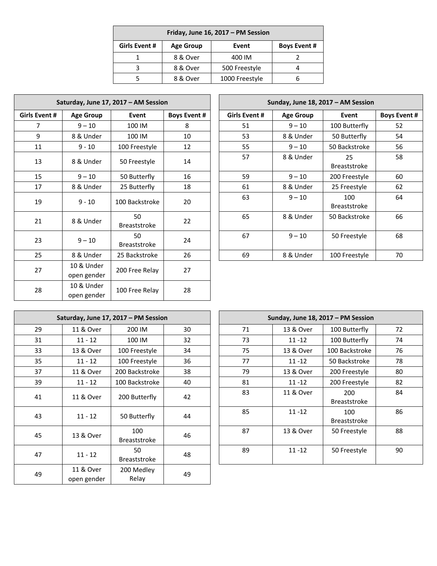| Friday, June 16, 2017 - PM Session |                  |                |                     |  |  |  |
|------------------------------------|------------------|----------------|---------------------|--|--|--|
| Girls Event #                      | <b>Age Group</b> | Event          | <b>Boys Event #</b> |  |  |  |
|                                    | 8 & Over         | 400 IM         |                     |  |  |  |
|                                    | 8 & Over         | 500 Freestyle  |                     |  |  |  |
|                                    | 8 & Over         | 1000 Freestyle |                     |  |  |  |

|                      | Saturday, June 17, 2017 - AM Session |                           |                     |  |                      | Sunday, June 18, 2017 - AM S |                         |
|----------------------|--------------------------------------|---------------------------|---------------------|--|----------------------|------------------------------|-------------------------|
| <b>Girls Event #</b> | <b>Age Group</b>                     | Event                     | <b>Boys Event #</b> |  | <b>Girls Event #</b> | <b>Age Group</b>             | Event                   |
| 7                    | $9 - 10$                             | 100 IM                    | 8                   |  | 51                   | $9 - 10$                     | 100 Butt                |
| 9                    | 8 & Under                            | 100 IM                    | 10                  |  | 53                   | 8 & Under                    | 50 Butte                |
| 11                   | $9 - 10$                             | 100 Freestyle             | 12                  |  | 55                   | $9 - 10$                     | 50 Backst               |
| 13                   | 8 & Under                            | 50 Freestyle              | 14                  |  | 57                   | 8 & Under                    | 25<br>Breaststi         |
| 15                   | $9 - 10$                             | 50 Butterfly              | 16                  |  | 59                   | $9 - 10$                     | 200 Frees               |
| 17                   | 8 & Under                            | 25 Butterfly              | 18                  |  | 61                   | 8 & Under                    | 25 Frees                |
| 19                   | $9 - 10$                             | 100 Backstroke            | 20                  |  | 63                   | $9 - 10$                     | 100<br><b>Breaststi</b> |
| 21                   | 8 & Under                            | 50<br><b>Breaststroke</b> | 22                  |  | 65                   | 8 & Under                    | 50 Backst               |
| 23                   | $9 - 10$                             | 50<br><b>Breaststroke</b> | 24                  |  | 67                   | $9 - 10$                     | 50 Frees                |
| 25                   | 8 & Under                            | 25 Backstroke             | 26                  |  | 69                   | 8 & Under                    | 100 Free:               |
| 27                   | 10 & Under<br>open gender            | 200 Free Relay            | 27                  |  |                      |                              |                         |
| 28                   | 10 & Under<br>open gender            | 100 Free Relay            | 28                  |  |                      |                              |                         |

|               | Saturday, June 17, 2017 - AM Session |                           |                     |                      | Sunday, June 18, 2017 - AM Session |                            |                     |  |  |
|---------------|--------------------------------------|---------------------------|---------------------|----------------------|------------------------------------|----------------------------|---------------------|--|--|
| Girls Event # | <b>Age Group</b>                     | Event                     | <b>Boys Event #</b> | <b>Girls Event #</b> | <b>Age Group</b>                   | Event                      | <b>Boys Event #</b> |  |  |
| 7             | $9 - 10$                             | 100 IM                    | 8                   | 51                   | $9 - 10$                           | 100 Butterfly              | 52                  |  |  |
| 9             | 8 & Under                            | 100 IM                    | 10                  | 53                   | 8 & Under                          | 50 Butterfly               | 54                  |  |  |
| 11            | $9 - 10$                             | 100 Freestyle             | 12                  | 55                   | $9 - 10$                           | 50 Backstroke              | 56                  |  |  |
| 13            | 8 & Under                            | 50 Freestyle              | 14                  | 57                   | 8 & Under                          | 25<br><b>Breaststroke</b>  | 58                  |  |  |
| 15            | $9 - 10$                             | 50 Butterfly              | 16                  | 59                   | $9 - 10$                           | 200 Freestyle              | 60                  |  |  |
| 17            | 8 & Under                            | 25 Butterfly              | 18                  | 61                   | 8 & Under                          | 25 Freestyle               | 62                  |  |  |
| 19            | $9 - 10$                             | 100 Backstroke            | 20                  | 63                   | $9 - 10$                           | 100<br><b>Breaststroke</b> | 64                  |  |  |
| 21            | 8 & Under                            | 50<br><b>Breaststroke</b> | 22                  | 65                   | 8 & Under                          | 50 Backstroke              | 66                  |  |  |
| 23            | $9 - 10$                             | 50<br><b>Breaststroke</b> | 24                  | 67                   | $9 - 10$                           | 50 Freestyle               | 68                  |  |  |
| 25            | 8 & Under                            | 25 Backstroke             | 26                  | 69                   | 8 & Under                          | 100 Freestyle              | 70                  |  |  |

| Saturday, June 17, 2017 - PM Session |                          |                            |    |  |    |           | Sunday, June 18, 2017 - PM Session |
|--------------------------------------|--------------------------|----------------------------|----|--|----|-----------|------------------------------------|
| 29                                   | 11 & Over                | 200 IM                     | 30 |  | 71 | 13 & Over | 100 Butterfly                      |
| 31                                   | $11 - 12$                | 100 IM                     | 32 |  | 73 | $11 - 12$ | 100 Butterfly                      |
| 33                                   | 13 & Over                | 100 Freestyle              | 34 |  | 75 | 13 & Over | 100 Backstroke                     |
| 35                                   | $11 - 12$                | 100 Freestyle              | 36 |  | 77 | $11 - 12$ | 50 Backstroke                      |
| 37                                   | 11 & Over                | 200 Backstroke             | 38 |  | 79 | 13 & Over | 200 Freestyle                      |
| 39                                   | $11 - 12$                | 100 Backstroke             | 40 |  | 81 | $11 - 12$ | 200 Freestyle                      |
| 41                                   | 11 & Over                | 200 Butterfly              | 42 |  | 83 | 11 & Over | 200<br><b>Breaststroke</b>         |
| 43                                   | $11 - 12$                | 50 Butterfly               | 44 |  | 85 | $11 - 12$ | 100<br><b>Breaststroke</b>         |
| 45                                   | 13 & Over                | 100<br><b>Breaststroke</b> | 46 |  | 87 | 13 & Over | 50 Freestyle                       |
| 47                                   | $11 - 12$                | 50<br><b>Breaststroke</b>  | 48 |  | 89 | $11 - 12$ | 50 Freestyle                       |
| 49                                   | 11 & Over<br>open gender | 200 Medley<br>Relay        | 49 |  |    |           |                                    |

|    | Saturday, June 17, 2017 - PM Session |                            |    |  | Sunday, June 18, 2017 - PM Session |           |                            |    |  |
|----|--------------------------------------|----------------------------|----|--|------------------------------------|-----------|----------------------------|----|--|
| 29 | 11 & Over                            | 200 IM                     | 30 |  | 71                                 | 13 & Over | 100 Butterfly              | 72 |  |
| 31 | $11 - 12$                            | 100 IM                     | 32 |  | 73                                 | $11 - 12$ | 100 Butterfly              | 74 |  |
| 33 | 13 & Over                            | 100 Freestyle              | 34 |  | 75                                 | 13 & Over | 100 Backstroke             | 76 |  |
| 35 | $11 - 12$                            | 100 Freestyle              | 36 |  | 77                                 | $11 - 12$ | 50 Backstroke              | 78 |  |
| 37 | 11 & Over                            | 200 Backstroke             | 38 |  | 79                                 | 13 & Over | 200 Freestyle              | 80 |  |
| 39 | $11 - 12$                            | 100 Backstroke             | 40 |  | 81                                 | $11 - 12$ | 200 Freestyle              | 82 |  |
| 41 | 11 & Over                            | 200 Butterfly              | 42 |  | 83                                 | 11 & Over | 200<br><b>Breaststroke</b> | 84 |  |
| 43 | $11 - 12$                            | 50 Butterfly               | 44 |  | 85                                 | $11 - 12$ | 100<br><b>Breaststroke</b> | 86 |  |
| 45 | 13 & Over                            | 100<br><b>Breaststroke</b> | 46 |  | 87                                 | 13 & Over | 50 Freestyle               | 88 |  |
| 47 | $11 - 12$                            | 50<br><b>Breaststroke</b>  | 48 |  | 89                                 | $11 - 12$ | 50 Freestyle               | 90 |  |